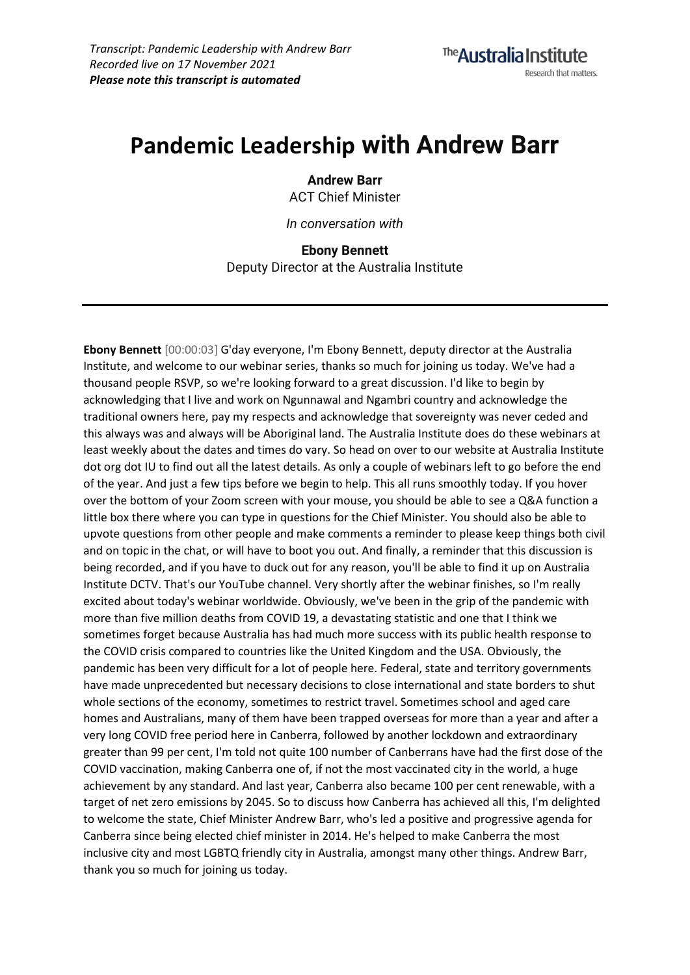# **Pandemic Leadership with Andrew Barr**

**Andrew Barr** ACT Chief Minister

*In conversation with*

**Ebony Bennett**

Deputy Director at the Australia Institute

**Ebony Bennett** [00:00:03] G'day everyone, I'm Ebony Bennett, deputy director at the Australia Institute, and welcome to our webinar series, thanks so much for joining us today. We've had a thousand people RSVP, so we're looking forward to a great discussion. I'd like to begin by acknowledging that I live and work on Ngunnawal and Ngambri country and acknowledge the traditional owners here, pay my respects and acknowledge that sovereignty was never ceded and this always was and always will be Aboriginal land. The Australia Institute does do these webinars at least weekly about the dates and times do vary. So head on over to our website at Australia Institute dot org dot IU to find out all the latest details. As only a couple of webinars left to go before the end of the year. And just a few tips before we begin to help. This all runs smoothly today. If you hover over the bottom of your Zoom screen with your mouse, you should be able to see a Q&A function a little box there where you can type in questions for the Chief Minister. You should also be able to upvote questions from other people and make comments a reminder to please keep things both civil and on topic in the chat, or will have to boot you out. And finally, a reminder that this discussion is being recorded, and if you have to duck out for any reason, you'll be able to find it up on Australia Institute DCTV. That's our YouTube channel. Very shortly after the webinar finishes, so I'm really excited about today's webinar worldwide. Obviously, we've been in the grip of the pandemic with more than five million deaths from COVID 19, a devastating statistic and one that I think we sometimes forget because Australia has had much more success with its public health response to the COVID crisis compared to countries like the United Kingdom and the USA. Obviously, the pandemic has been very difficult for a lot of people here. Federal, state and territory governments have made unprecedented but necessary decisions to close international and state borders to shut whole sections of the economy, sometimes to restrict travel. Sometimes school and aged care homes and Australians, many of them have been trapped overseas for more than a year and after a very long COVID free period here in Canberra, followed by another lockdown and extraordinary greater than 99 per cent, I'm told not quite 100 number of Canberrans have had the first dose of the COVID vaccination, making Canberra one of, if not the most vaccinated city in the world, a huge achievement by any standard. And last year, Canberra also became 100 per cent renewable, with a target of net zero emissions by 2045. So to discuss how Canberra has achieved all this, I'm delighted to welcome the state, Chief Minister Andrew Barr, who's led a positive and progressive agenda for Canberra since being elected chief minister in 2014. He's helped to make Canberra the most inclusive city and most LGBTQ friendly city in Australia, amongst many other things. Andrew Barr, thank you so much for joining us today.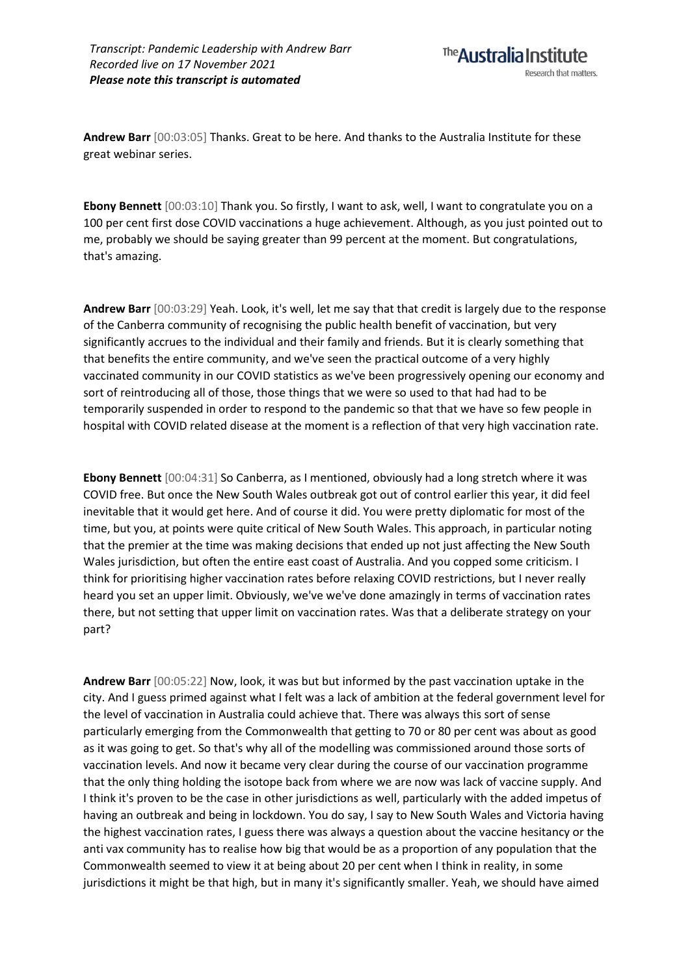**Andrew Barr** [00:03:05] Thanks. Great to be here. And thanks to the Australia Institute for these great webinar series.

**Ebony Bennett** [00:03:10] Thank you. So firstly, I want to ask, well, I want to congratulate you on a 100 per cent first dose COVID vaccinations a huge achievement. Although, as you just pointed out to me, probably we should be saying greater than 99 percent at the moment. But congratulations, that's amazing.

**Andrew Barr** [00:03:29] Yeah. Look, it's well, let me say that that credit is largely due to the response of the Canberra community of recognising the public health benefit of vaccination, but very significantly accrues to the individual and their family and friends. But it is clearly something that that benefits the entire community, and we've seen the practical outcome of a very highly vaccinated community in our COVID statistics as we've been progressively opening our economy and sort of reintroducing all of those, those things that we were so used to that had had to be temporarily suspended in order to respond to the pandemic so that that we have so few people in hospital with COVID related disease at the moment is a reflection of that very high vaccination rate.

**Ebony Bennett** [00:04:31] So Canberra, as I mentioned, obviously had a long stretch where it was COVID free. But once the New South Wales outbreak got out of control earlier this year, it did feel inevitable that it would get here. And of course it did. You were pretty diplomatic for most of the time, but you, at points were quite critical of New South Wales. This approach, in particular noting that the premier at the time was making decisions that ended up not just affecting the New South Wales jurisdiction, but often the entire east coast of Australia. And you copped some criticism. I think for prioritising higher vaccination rates before relaxing COVID restrictions, but I never really heard you set an upper limit. Obviously, we've we've done amazingly in terms of vaccination rates there, but not setting that upper limit on vaccination rates. Was that a deliberate strategy on your part?

**Andrew Barr** [00:05:22] Now, look, it was but but informed by the past vaccination uptake in the city. And I guess primed against what I felt was a lack of ambition at the federal government level for the level of vaccination in Australia could achieve that. There was always this sort of sense particularly emerging from the Commonwealth that getting to 70 or 80 per cent was about as good as it was going to get. So that's why all of the modelling was commissioned around those sorts of vaccination levels. And now it became very clear during the course of our vaccination programme that the only thing holding the isotope back from where we are now was lack of vaccine supply. And I think it's proven to be the case in other jurisdictions as well, particularly with the added impetus of having an outbreak and being in lockdown. You do say, I say to New South Wales and Victoria having the highest vaccination rates, I guess there was always a question about the vaccine hesitancy or the anti vax community has to realise how big that would be as a proportion of any population that the Commonwealth seemed to view it at being about 20 per cent when I think in reality, in some jurisdictions it might be that high, but in many it's significantly smaller. Yeah, we should have aimed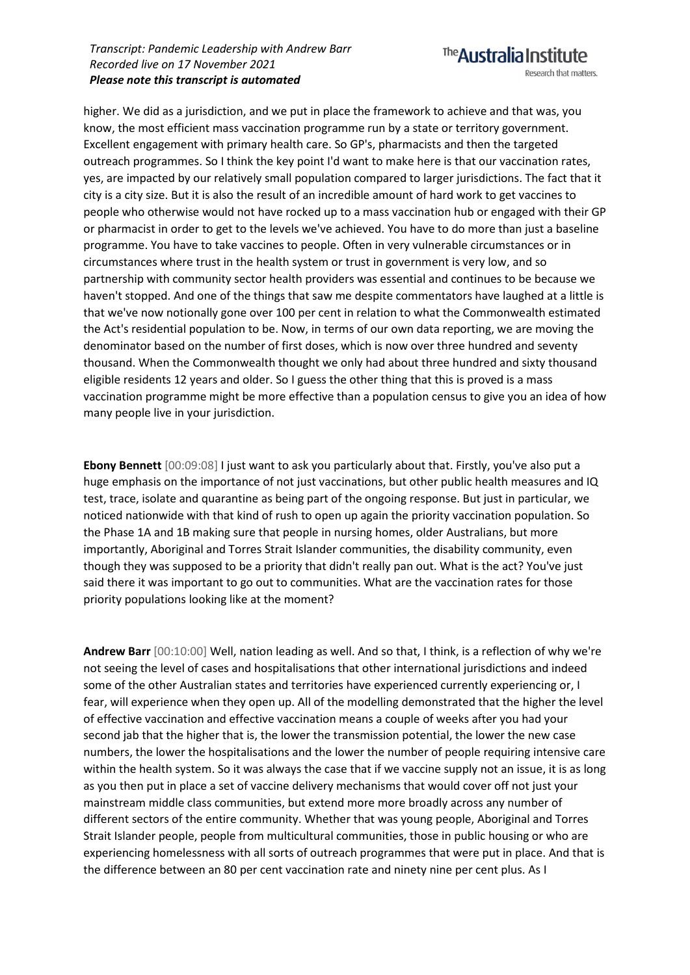higher. We did as a jurisdiction, and we put in place the framework to achieve and that was, you know, the most efficient mass vaccination programme run by a state or territory government. Excellent engagement with primary health care. So GP's, pharmacists and then the targeted outreach programmes. So I think the key point I'd want to make here is that our vaccination rates, yes, are impacted by our relatively small population compared to larger jurisdictions. The fact that it city is a city size. But it is also the result of an incredible amount of hard work to get vaccines to people who otherwise would not have rocked up to a mass vaccination hub or engaged with their GP or pharmacist in order to get to the levels we've achieved. You have to do more than just a baseline programme. You have to take vaccines to people. Often in very vulnerable circumstances or in circumstances where trust in the health system or trust in government is very low, and so partnership with community sector health providers was essential and continues to be because we haven't stopped. And one of the things that saw me despite commentators have laughed at a little is that we've now notionally gone over 100 per cent in relation to what the Commonwealth estimated the Act's residential population to be. Now, in terms of our own data reporting, we are moving the denominator based on the number of first doses, which is now over three hundred and seventy thousand. When the Commonwealth thought we only had about three hundred and sixty thousand eligible residents 12 years and older. So I guess the other thing that this is proved is a mass vaccination programme might be more effective than a population census to give you an idea of how many people live in your jurisdiction.

**Ebony Bennett** [00:09:08] I just want to ask you particularly about that. Firstly, you've also put a huge emphasis on the importance of not just vaccinations, but other public health measures and IQ test, trace, isolate and quarantine as being part of the ongoing response. But just in particular, we noticed nationwide with that kind of rush to open up again the priority vaccination population. So the Phase 1A and 1B making sure that people in nursing homes, older Australians, but more importantly, Aboriginal and Torres Strait Islander communities, the disability community, even though they was supposed to be a priority that didn't really pan out. What is the act? You've just said there it was important to go out to communities. What are the vaccination rates for those priority populations looking like at the moment?

**Andrew Barr** [00:10:00] Well, nation leading as well. And so that, I think, is a reflection of why we're not seeing the level of cases and hospitalisations that other international jurisdictions and indeed some of the other Australian states and territories have experienced currently experiencing or, I fear, will experience when they open up. All of the modelling demonstrated that the higher the level of effective vaccination and effective vaccination means a couple of weeks after you had your second jab that the higher that is, the lower the transmission potential, the lower the new case numbers, the lower the hospitalisations and the lower the number of people requiring intensive care within the health system. So it was always the case that if we vaccine supply not an issue, it is as long as you then put in place a set of vaccine delivery mechanisms that would cover off not just your mainstream middle class communities, but extend more more broadly across any number of different sectors of the entire community. Whether that was young people, Aboriginal and Torres Strait Islander people, people from multicultural communities, those in public housing or who are experiencing homelessness with all sorts of outreach programmes that were put in place. And that is the difference between an 80 per cent vaccination rate and ninety nine per cent plus. As I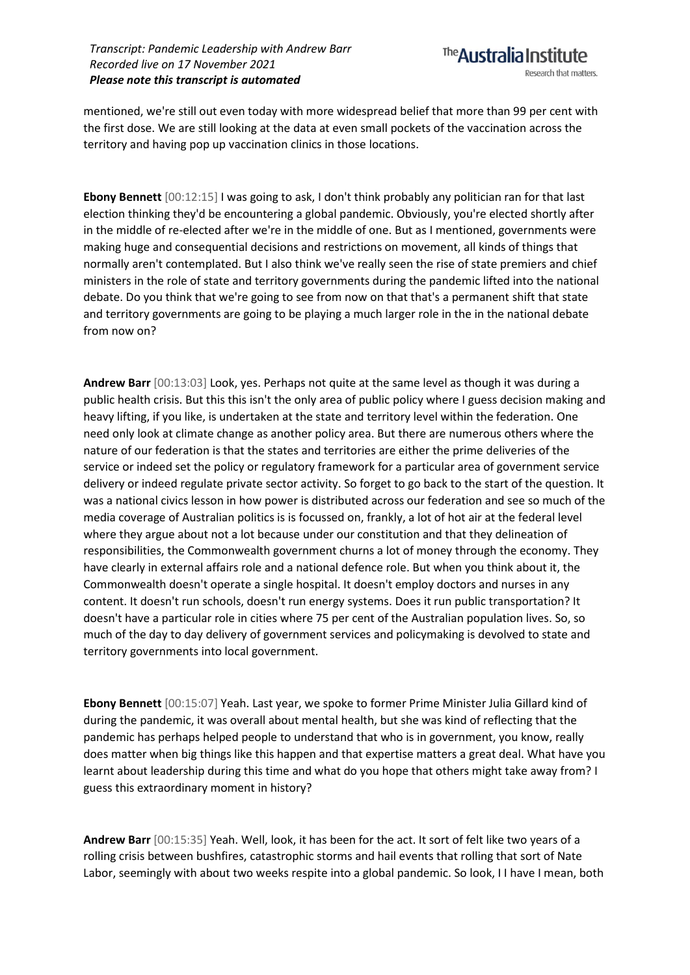mentioned, we're still out even today with more widespread belief that more than 99 per cent with the first dose. We are still looking at the data at even small pockets of the vaccination across the territory and having pop up vaccination clinics in those locations.

**Ebony Bennett** [00:12:15] I was going to ask, I don't think probably any politician ran for that last election thinking they'd be encountering a global pandemic. Obviously, you're elected shortly after in the middle of re-elected after we're in the middle of one. But as I mentioned, governments were making huge and consequential decisions and restrictions on movement, all kinds of things that normally aren't contemplated. But I also think we've really seen the rise of state premiers and chief ministers in the role of state and territory governments during the pandemic lifted into the national debate. Do you think that we're going to see from now on that that's a permanent shift that state and territory governments are going to be playing a much larger role in the in the national debate from now on?

**Andrew Barr** [00:13:03] Look, yes. Perhaps not quite at the same level as though it was during a public health crisis. But this this isn't the only area of public policy where I guess decision making and heavy lifting, if you like, is undertaken at the state and territory level within the federation. One need only look at climate change as another policy area. But there are numerous others where the nature of our federation is that the states and territories are either the prime deliveries of the service or indeed set the policy or regulatory framework for a particular area of government service delivery or indeed regulate private sector activity. So forget to go back to the start of the question. It was a national civics lesson in how power is distributed across our federation and see so much of the media coverage of Australian politics is is focussed on, frankly, a lot of hot air at the federal level where they argue about not a lot because under our constitution and that they delineation of responsibilities, the Commonwealth government churns a lot of money through the economy. They have clearly in external affairs role and a national defence role. But when you think about it, the Commonwealth doesn't operate a single hospital. It doesn't employ doctors and nurses in any content. It doesn't run schools, doesn't run energy systems. Does it run public transportation? It doesn't have a particular role in cities where 75 per cent of the Australian population lives. So, so much of the day to day delivery of government services and policymaking is devolved to state and territory governments into local government.

**Ebony Bennett** [00:15:07] Yeah. Last year, we spoke to former Prime Minister Julia Gillard kind of during the pandemic, it was overall about mental health, but she was kind of reflecting that the pandemic has perhaps helped people to understand that who is in government, you know, really does matter when big things like this happen and that expertise matters a great deal. What have you learnt about leadership during this time and what do you hope that others might take away from? I guess this extraordinary moment in history?

**Andrew Barr** [00:15:35] Yeah. Well, look, it has been for the act. It sort of felt like two years of a rolling crisis between bushfires, catastrophic storms and hail events that rolling that sort of Nate Labor, seemingly with about two weeks respite into a global pandemic. So look, II have I mean, both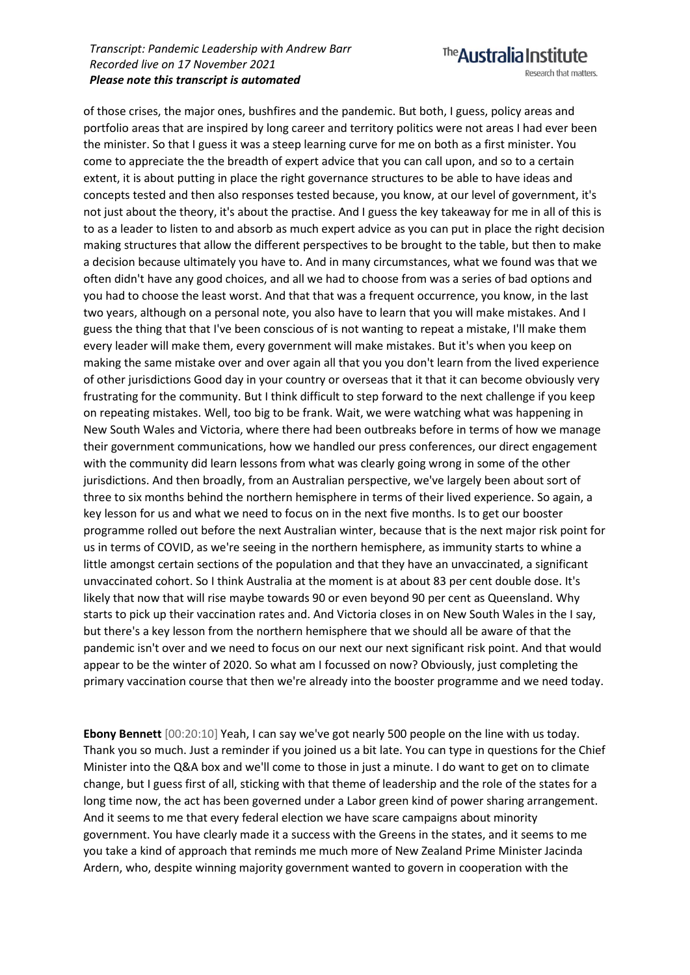of those crises, the major ones, bushfires and the pandemic. But both, I guess, policy areas and portfolio areas that are inspired by long career and territory politics were not areas I had ever been the minister. So that I guess it was a steep learning curve for me on both as a first minister. You come to appreciate the the breadth of expert advice that you can call upon, and so to a certain extent, it is about putting in place the right governance structures to be able to have ideas and concepts tested and then also responses tested because, you know, at our level of government, it's not just about the theory, it's about the practise. And I guess the key takeaway for me in all of this is to as a leader to listen to and absorb as much expert advice as you can put in place the right decision making structures that allow the different perspectives to be brought to the table, but then to make a decision because ultimately you have to. And in many circumstances, what we found was that we often didn't have any good choices, and all we had to choose from was a series of bad options and you had to choose the least worst. And that that was a frequent occurrence, you know, in the last two years, although on a personal note, you also have to learn that you will make mistakes. And I guess the thing that that I've been conscious of is not wanting to repeat a mistake, I'll make them every leader will make them, every government will make mistakes. But it's when you keep on making the same mistake over and over again all that you you don't learn from the lived experience of other jurisdictions Good day in your country or overseas that it that it can become obviously very frustrating for the community. But I think difficult to step forward to the next challenge if you keep on repeating mistakes. Well, too big to be frank. Wait, we were watching what was happening in New South Wales and Victoria, where there had been outbreaks before in terms of how we manage their government communications, how we handled our press conferences, our direct engagement with the community did learn lessons from what was clearly going wrong in some of the other jurisdictions. And then broadly, from an Australian perspective, we've largely been about sort of three to six months behind the northern hemisphere in terms of their lived experience. So again, a key lesson for us and what we need to focus on in the next five months. Is to get our booster programme rolled out before the next Australian winter, because that is the next major risk point for us in terms of COVID, as we're seeing in the northern hemisphere, as immunity starts to whine a little amongst certain sections of the population and that they have an unvaccinated, a significant unvaccinated cohort. So I think Australia at the moment is at about 83 per cent double dose. It's likely that now that will rise maybe towards 90 or even beyond 90 per cent as Queensland. Why starts to pick up their vaccination rates and. And Victoria closes in on New South Wales in the I say, but there's a key lesson from the northern hemisphere that we should all be aware of that the pandemic isn't over and we need to focus on our next our next significant risk point. And that would appear to be the winter of 2020. So what am I focussed on now? Obviously, just completing the primary vaccination course that then we're already into the booster programme and we need today.

**Ebony Bennett** [00:20:10] Yeah, I can say we've got nearly 500 people on the line with us today. Thank you so much. Just a reminder if you joined us a bit late. You can type in questions for the Chief Minister into the Q&A box and we'll come to those in just a minute. I do want to get on to climate change, but I guess first of all, sticking with that theme of leadership and the role of the states for a long time now, the act has been governed under a Labor green kind of power sharing arrangement. And it seems to me that every federal election we have scare campaigns about minority government. You have clearly made it a success with the Greens in the states, and it seems to me you take a kind of approach that reminds me much more of New Zealand Prime Minister Jacinda Ardern, who, despite winning majority government wanted to govern in cooperation with the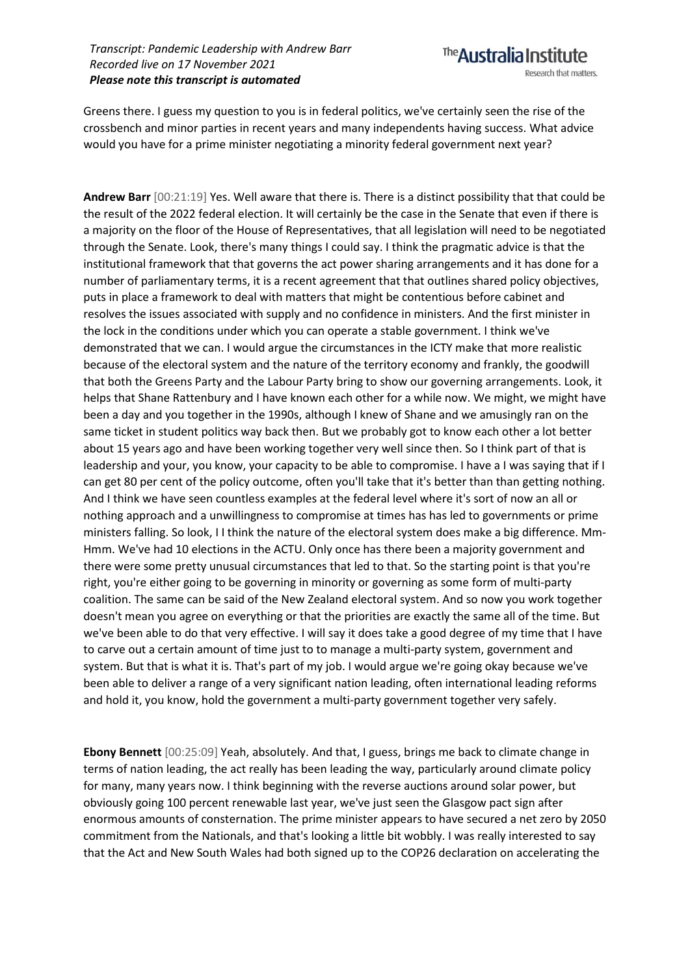Greens there. I guess my question to you is in federal politics, we've certainly seen the rise of the crossbench and minor parties in recent years and many independents having success. What advice would you have for a prime minister negotiating a minority federal government next year?

**Andrew Barr** [00:21:19] Yes. Well aware that there is. There is a distinct possibility that that could be the result of the 2022 federal election. It will certainly be the case in the Senate that even if there is a majority on the floor of the House of Representatives, that all legislation will need to be negotiated through the Senate. Look, there's many things I could say. I think the pragmatic advice is that the institutional framework that that governs the act power sharing arrangements and it has done for a number of parliamentary terms, it is a recent agreement that that outlines shared policy objectives, puts in place a framework to deal with matters that might be contentious before cabinet and resolves the issues associated with supply and no confidence in ministers. And the first minister in the lock in the conditions under which you can operate a stable government. I think we've demonstrated that we can. I would argue the circumstances in the ICTY make that more realistic because of the electoral system and the nature of the territory economy and frankly, the goodwill that both the Greens Party and the Labour Party bring to show our governing arrangements. Look, it helps that Shane Rattenbury and I have known each other for a while now. We might, we might have been a day and you together in the 1990s, although I knew of Shane and we amusingly ran on the same ticket in student politics way back then. But we probably got to know each other a lot better about 15 years ago and have been working together very well since then. So I think part of that is leadership and your, you know, your capacity to be able to compromise. I have a I was saying that if I can get 80 per cent of the policy outcome, often you'll take that it's better than than getting nothing. And I think we have seen countless examples at the federal level where it's sort of now an all or nothing approach and a unwillingness to compromise at times has has led to governments or prime ministers falling. So look, I I think the nature of the electoral system does make a big difference. Mm-Hmm. We've had 10 elections in the ACTU. Only once has there been a majority government and there were some pretty unusual circumstances that led to that. So the starting point is that you're right, you're either going to be governing in minority or governing as some form of multi-party coalition. The same can be said of the New Zealand electoral system. And so now you work together doesn't mean you agree on everything or that the priorities are exactly the same all of the time. But we've been able to do that very effective. I will say it does take a good degree of my time that I have to carve out a certain amount of time just to to manage a multi-party system, government and system. But that is what it is. That's part of my job. I would argue we're going okay because we've been able to deliver a range of a very significant nation leading, often international leading reforms and hold it, you know, hold the government a multi-party government together very safely.

**Ebony Bennett** [00:25:09] Yeah, absolutely. And that, I guess, brings me back to climate change in terms of nation leading, the act really has been leading the way, particularly around climate policy for many, many years now. I think beginning with the reverse auctions around solar power, but obviously going 100 percent renewable last year, we've just seen the Glasgow pact sign after enormous amounts of consternation. The prime minister appears to have secured a net zero by 2050 commitment from the Nationals, and that's looking a little bit wobbly. I was really interested to say that the Act and New South Wales had both signed up to the COP26 declaration on accelerating the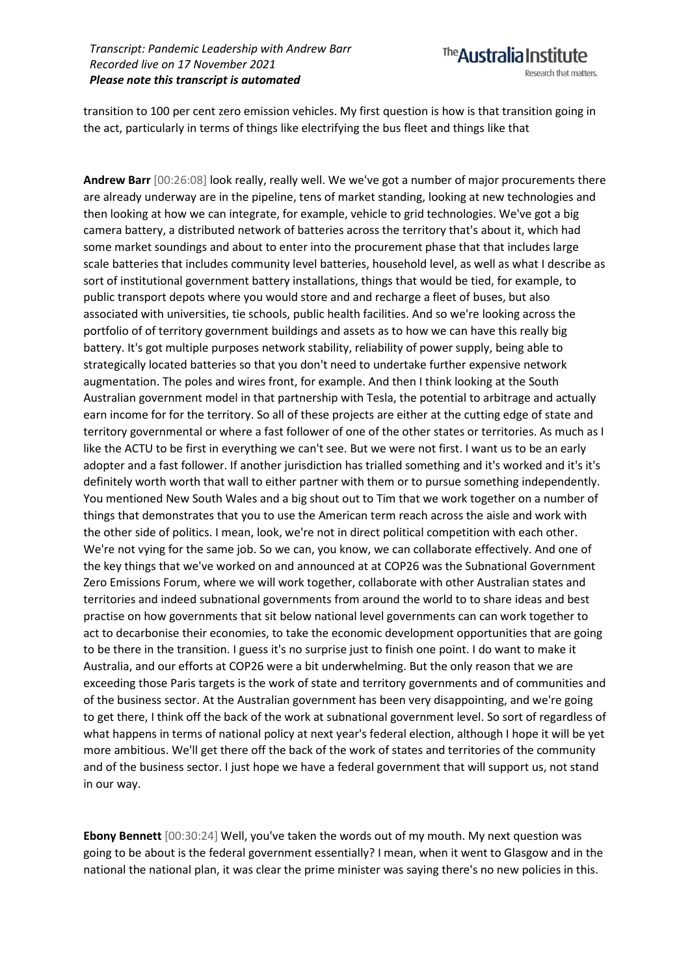transition to 100 per cent zero emission vehicles. My first question is how is that transition going in the act, particularly in terms of things like electrifying the bus fleet and things like that

**Andrew Barr** [00:26:08] look really, really well. We we've got a number of major procurements there are already underway are in the pipeline, tens of market standing, looking at new technologies and then looking at how we can integrate, for example, vehicle to grid technologies. We've got a big camera battery, a distributed network of batteries across the territory that's about it, which had some market soundings and about to enter into the procurement phase that that includes large scale batteries that includes community level batteries, household level, as well as what I describe as sort of institutional government battery installations, things that would be tied, for example, to public transport depots where you would store and and recharge a fleet of buses, but also associated with universities, tie schools, public health facilities. And so we're looking across the portfolio of of territory government buildings and assets as to how we can have this really big battery. It's got multiple purposes network stability, reliability of power supply, being able to strategically located batteries so that you don't need to undertake further expensive network augmentation. The poles and wires front, for example. And then I think looking at the South Australian government model in that partnership with Tesla, the potential to arbitrage and actually earn income for for the territory. So all of these projects are either at the cutting edge of state and territory governmental or where a fast follower of one of the other states or territories. As much as I like the ACTU to be first in everything we can't see. But we were not first. I want us to be an early adopter and a fast follower. If another jurisdiction has trialled something and it's worked and it's it's definitely worth worth that wall to either partner with them or to pursue something independently. You mentioned New South Wales and a big shout out to Tim that we work together on a number of things that demonstrates that you to use the American term reach across the aisle and work with the other side of politics. I mean, look, we're not in direct political competition with each other. We're not vying for the same job. So we can, you know, we can collaborate effectively. And one of the key things that we've worked on and announced at at COP26 was the Subnational Government Zero Emissions Forum, where we will work together, collaborate with other Australian states and territories and indeed subnational governments from around the world to to share ideas and best practise on how governments that sit below national level governments can can work together to act to decarbonise their economies, to take the economic development opportunities that are going to be there in the transition. I guess it's no surprise just to finish one point. I do want to make it Australia, and our efforts at COP26 were a bit underwhelming. But the only reason that we are exceeding those Paris targets is the work of state and territory governments and of communities and of the business sector. At the Australian government has been very disappointing, and we're going to get there, I think off the back of the work at subnational government level. So sort of regardless of what happens in terms of national policy at next year's federal election, although I hope it will be yet more ambitious. We'll get there off the back of the work of states and territories of the community and of the business sector. I just hope we have a federal government that will support us, not stand in our way.

**Ebony Bennett** [00:30:24] Well, you've taken the words out of my mouth. My next question was going to be about is the federal government essentially? I mean, when it went to Glasgow and in the national the national plan, it was clear the prime minister was saying there's no new policies in this.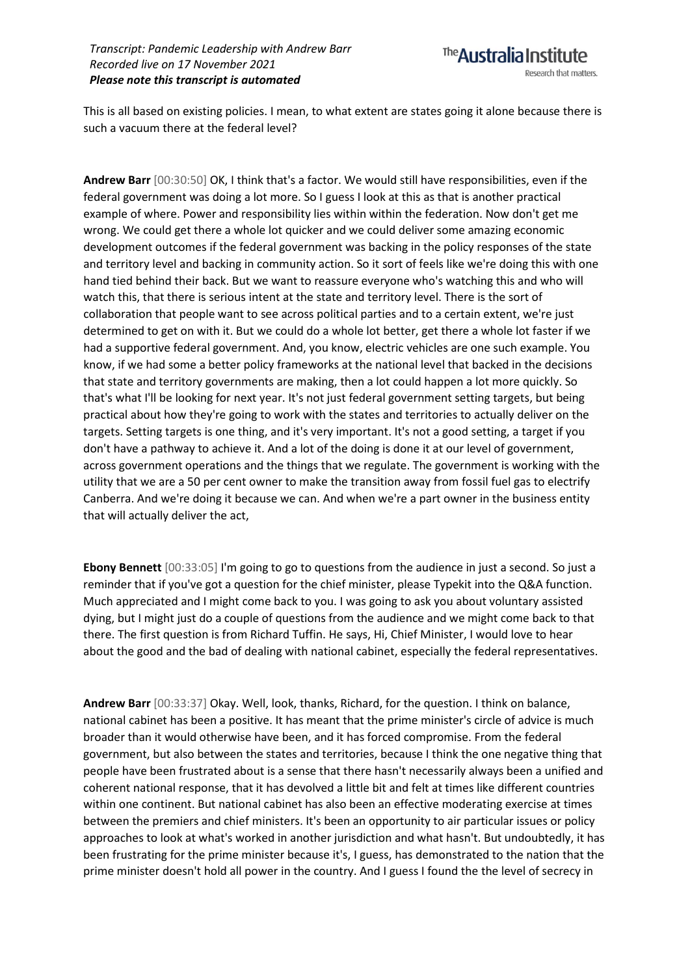This is all based on existing policies. I mean, to what extent are states going it alone because there is such a vacuum there at the federal level?

**Andrew Barr** [00:30:50] OK, I think that's a factor. We would still have responsibilities, even if the federal government was doing a lot more. So I guess I look at this as that is another practical example of where. Power and responsibility lies within within the federation. Now don't get me wrong. We could get there a whole lot quicker and we could deliver some amazing economic development outcomes if the federal government was backing in the policy responses of the state and territory level and backing in community action. So it sort of feels like we're doing this with one hand tied behind their back. But we want to reassure everyone who's watching this and who will watch this, that there is serious intent at the state and territory level. There is the sort of collaboration that people want to see across political parties and to a certain extent, we're just determined to get on with it. But we could do a whole lot better, get there a whole lot faster if we had a supportive federal government. And, you know, electric vehicles are one such example. You know, if we had some a better policy frameworks at the national level that backed in the decisions that state and territory governments are making, then a lot could happen a lot more quickly. So that's what I'll be looking for next year. It's not just federal government setting targets, but being practical about how they're going to work with the states and territories to actually deliver on the targets. Setting targets is one thing, and it's very important. It's not a good setting, a target if you don't have a pathway to achieve it. And a lot of the doing is done it at our level of government, across government operations and the things that we regulate. The government is working with the utility that we are a 50 per cent owner to make the transition away from fossil fuel gas to electrify Canberra. And we're doing it because we can. And when we're a part owner in the business entity that will actually deliver the act,

**Ebony Bennett** [00:33:05] I'm going to go to questions from the audience in just a second. So just a reminder that if you've got a question for the chief minister, please Typekit into the Q&A function. Much appreciated and I might come back to you. I was going to ask you about voluntary assisted dying, but I might just do a couple of questions from the audience and we might come back to that there. The first question is from Richard Tuffin. He says, Hi, Chief Minister, I would love to hear about the good and the bad of dealing with national cabinet, especially the federal representatives.

**Andrew Barr** [00:33:37] Okay. Well, look, thanks, Richard, for the question. I think on balance, national cabinet has been a positive. It has meant that the prime minister's circle of advice is much broader than it would otherwise have been, and it has forced compromise. From the federal government, but also between the states and territories, because I think the one negative thing that people have been frustrated about is a sense that there hasn't necessarily always been a unified and coherent national response, that it has devolved a little bit and felt at times like different countries within one continent. But national cabinet has also been an effective moderating exercise at times between the premiers and chief ministers. It's been an opportunity to air particular issues or policy approaches to look at what's worked in another jurisdiction and what hasn't. But undoubtedly, it has been frustrating for the prime minister because it's, I guess, has demonstrated to the nation that the prime minister doesn't hold all power in the country. And I guess I found the the level of secrecy in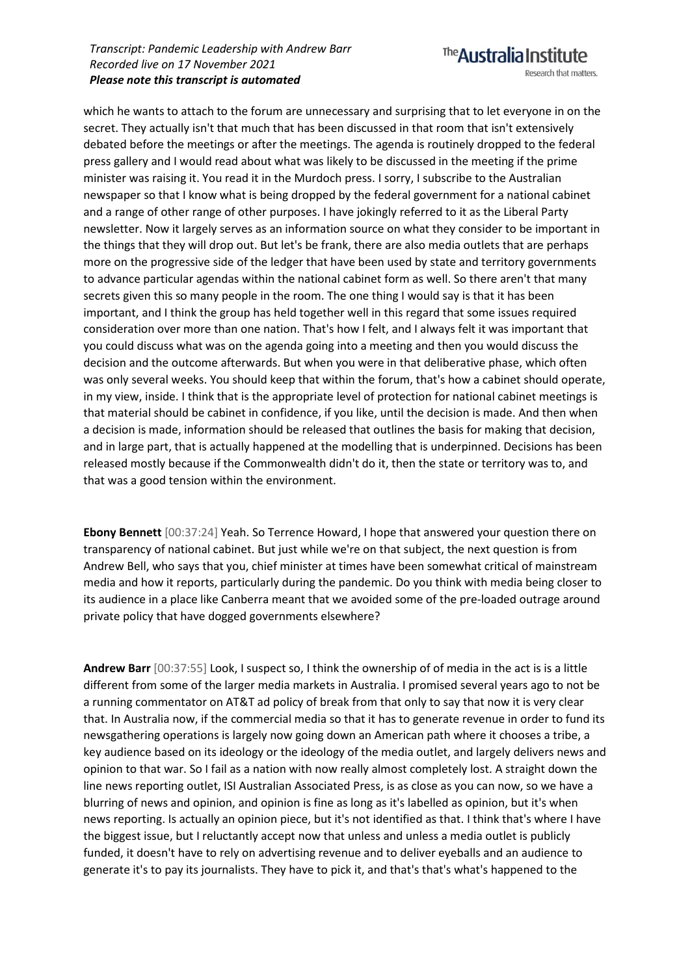which he wants to attach to the forum are unnecessary and surprising that to let everyone in on the secret. They actually isn't that much that has been discussed in that room that isn't extensively debated before the meetings or after the meetings. The agenda is routinely dropped to the federal press gallery and I would read about what was likely to be discussed in the meeting if the prime minister was raising it. You read it in the Murdoch press. I sorry, I subscribe to the Australian newspaper so that I know what is being dropped by the federal government for a national cabinet and a range of other range of other purposes. I have jokingly referred to it as the Liberal Party newsletter. Now it largely serves as an information source on what they consider to be important in the things that they will drop out. But let's be frank, there are also media outlets that are perhaps more on the progressive side of the ledger that have been used by state and territory governments to advance particular agendas within the national cabinet form as well. So there aren't that many secrets given this so many people in the room. The one thing I would say is that it has been important, and I think the group has held together well in this regard that some issues required consideration over more than one nation. That's how I felt, and I always felt it was important that you could discuss what was on the agenda going into a meeting and then you would discuss the decision and the outcome afterwards. But when you were in that deliberative phase, which often was only several weeks. You should keep that within the forum, that's how a cabinet should operate, in my view, inside. I think that is the appropriate level of protection for national cabinet meetings is that material should be cabinet in confidence, if you like, until the decision is made. And then when a decision is made, information should be released that outlines the basis for making that decision, and in large part, that is actually happened at the modelling that is underpinned. Decisions has been released mostly because if the Commonwealth didn't do it, then the state or territory was to, and that was a good tension within the environment.

**Ebony Bennett** [00:37:24] Yeah. So Terrence Howard, I hope that answered your question there on transparency of national cabinet. But just while we're on that subject, the next question is from Andrew Bell, who says that you, chief minister at times have been somewhat critical of mainstream media and how it reports, particularly during the pandemic. Do you think with media being closer to its audience in a place like Canberra meant that we avoided some of the pre-loaded outrage around private policy that have dogged governments elsewhere?

**Andrew Barr** [00:37:55] Look, I suspect so, I think the ownership of of media in the act is is a little different from some of the larger media markets in Australia. I promised several years ago to not be a running commentator on AT&T ad policy of break from that only to say that now it is very clear that. In Australia now, if the commercial media so that it has to generate revenue in order to fund its newsgathering operations is largely now going down an American path where it chooses a tribe, a key audience based on its ideology or the ideology of the media outlet, and largely delivers news and opinion to that war. So I fail as a nation with now really almost completely lost. A straight down the line news reporting outlet, ISI Australian Associated Press, is as close as you can now, so we have a blurring of news and opinion, and opinion is fine as long as it's labelled as opinion, but it's when news reporting. Is actually an opinion piece, but it's not identified as that. I think that's where I have the biggest issue, but I reluctantly accept now that unless and unless a media outlet is publicly funded, it doesn't have to rely on advertising revenue and to deliver eyeballs and an audience to generate it's to pay its journalists. They have to pick it, and that's that's what's happened to the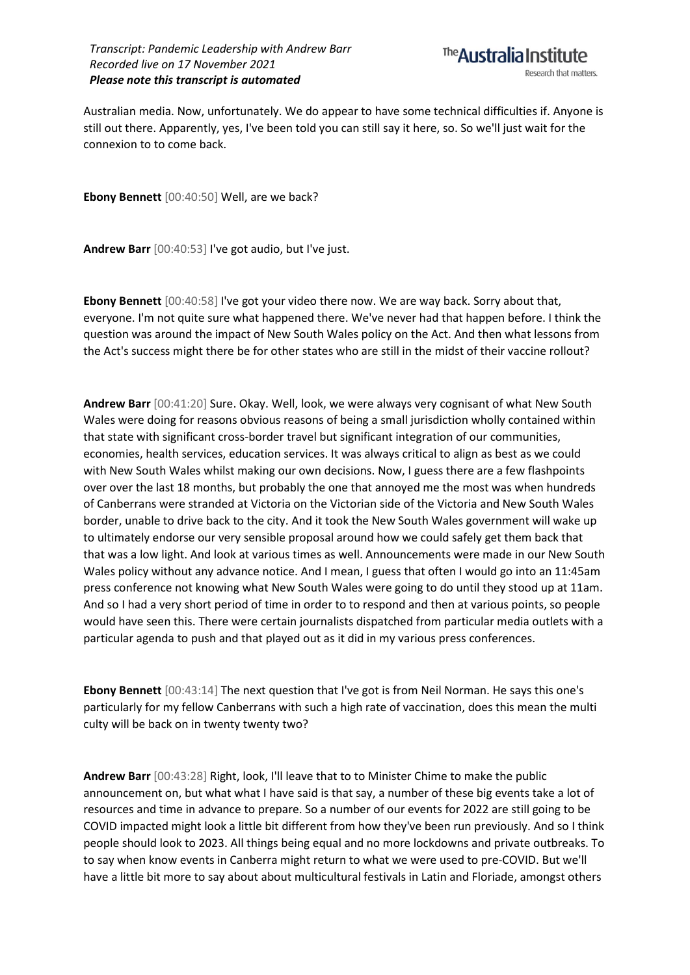

Australian media. Now, unfortunately. We do appear to have some technical difficulties if. Anyone is still out there. Apparently, yes, I've been told you can still say it here, so. So we'll just wait for the connexion to to come back.

**Ebony Bennett** [00:40:50] Well, are we back?

**Andrew Barr** [00:40:53] I've got audio, but I've just.

**Ebony Bennett** [00:40:58] I've got your video there now. We are way back. Sorry about that, everyone. I'm not quite sure what happened there. We've never had that happen before. I think the question was around the impact of New South Wales policy on the Act. And then what lessons from the Act's success might there be for other states who are still in the midst of their vaccine rollout?

**Andrew Barr** [00:41:20] Sure. Okay. Well, look, we were always very cognisant of what New South Wales were doing for reasons obvious reasons of being a small jurisdiction wholly contained within that state with significant cross-border travel but significant integration of our communities, economies, health services, education services. It was always critical to align as best as we could with New South Wales whilst making our own decisions. Now, I guess there are a few flashpoints over over the last 18 months, but probably the one that annoyed me the most was when hundreds of Canberrans were stranded at Victoria on the Victorian side of the Victoria and New South Wales border, unable to drive back to the city. And it took the New South Wales government will wake up to ultimately endorse our very sensible proposal around how we could safely get them back that that was a low light. And look at various times as well. Announcements were made in our New South Wales policy without any advance notice. And I mean, I guess that often I would go into an 11:45am press conference not knowing what New South Wales were going to do until they stood up at 11am. And so I had a very short period of time in order to to respond and then at various points, so people would have seen this. There were certain journalists dispatched from particular media outlets with a particular agenda to push and that played out as it did in my various press conferences.

**Ebony Bennett** [00:43:14] The next question that I've got is from Neil Norman. He says this one's particularly for my fellow Canberrans with such a high rate of vaccination, does this mean the multi culty will be back on in twenty twenty two?

**Andrew Barr** [00:43:28] Right, look, I'll leave that to to Minister Chime to make the public announcement on, but what what I have said is that say, a number of these big events take a lot of resources and time in advance to prepare. So a number of our events for 2022 are still going to be COVID impacted might look a little bit different from how they've been run previously. And so I think people should look to 2023. All things being equal and no more lockdowns and private outbreaks. To to say when know events in Canberra might return to what we were used to pre-COVID. But we'll have a little bit more to say about about multicultural festivals in Latin and Floriade, amongst others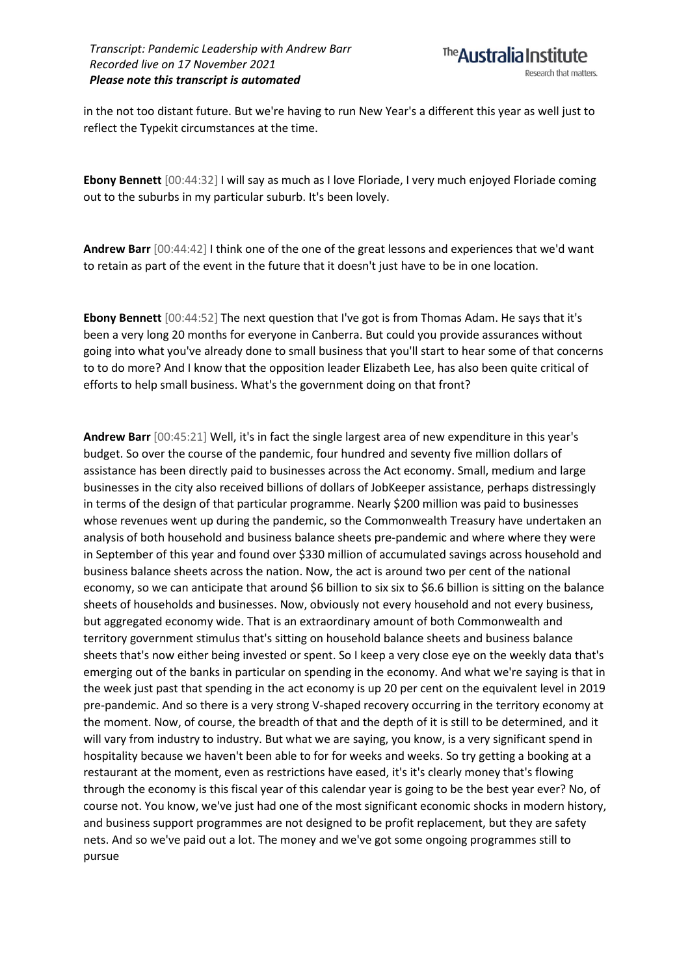in the not too distant future. But we're having to run New Year's a different this year as well just to reflect the Typekit circumstances at the time.

**Ebony Bennett** [00:44:32] I will say as much as I love Floriade, I very much enjoyed Floriade coming out to the suburbs in my particular suburb. It's been lovely.

**Andrew Barr** [00:44:42] I think one of the one of the great lessons and experiences that we'd want to retain as part of the event in the future that it doesn't just have to be in one location.

**Ebony Bennett** [00:44:52] The next question that I've got is from Thomas Adam. He says that it's been a very long 20 months for everyone in Canberra. But could you provide assurances without going into what you've already done to small business that you'll start to hear some of that concerns to to do more? And I know that the opposition leader Elizabeth Lee, has also been quite critical of efforts to help small business. What's the government doing on that front?

**Andrew Barr** [00:45:21] Well, it's in fact the single largest area of new expenditure in this year's budget. So over the course of the pandemic, four hundred and seventy five million dollars of assistance has been directly paid to businesses across the Act economy. Small, medium and large businesses in the city also received billions of dollars of JobKeeper assistance, perhaps distressingly in terms of the design of that particular programme. Nearly \$200 million was paid to businesses whose revenues went up during the pandemic, so the Commonwealth Treasury have undertaken an analysis of both household and business balance sheets pre-pandemic and where where they were in September of this year and found over \$330 million of accumulated savings across household and business balance sheets across the nation. Now, the act is around two per cent of the national economy, so we can anticipate that around \$6 billion to six six to \$6.6 billion is sitting on the balance sheets of households and businesses. Now, obviously not every household and not every business, but aggregated economy wide. That is an extraordinary amount of both Commonwealth and territory government stimulus that's sitting on household balance sheets and business balance sheets that's now either being invested or spent. So I keep a very close eye on the weekly data that's emerging out of the banks in particular on spending in the economy. And what we're saying is that in the week just past that spending in the act economy is up 20 per cent on the equivalent level in 2019 pre-pandemic. And so there is a very strong V-shaped recovery occurring in the territory economy at the moment. Now, of course, the breadth of that and the depth of it is still to be determined, and it will vary from industry to industry. But what we are saying, you know, is a very significant spend in hospitality because we haven't been able to for for weeks and weeks. So try getting a booking at a restaurant at the moment, even as restrictions have eased, it's it's clearly money that's flowing through the economy is this fiscal year of this calendar year is going to be the best year ever? No, of course not. You know, we've just had one of the most significant economic shocks in modern history, and business support programmes are not designed to be profit replacement, but they are safety nets. And so we've paid out a lot. The money and we've got some ongoing programmes still to pursue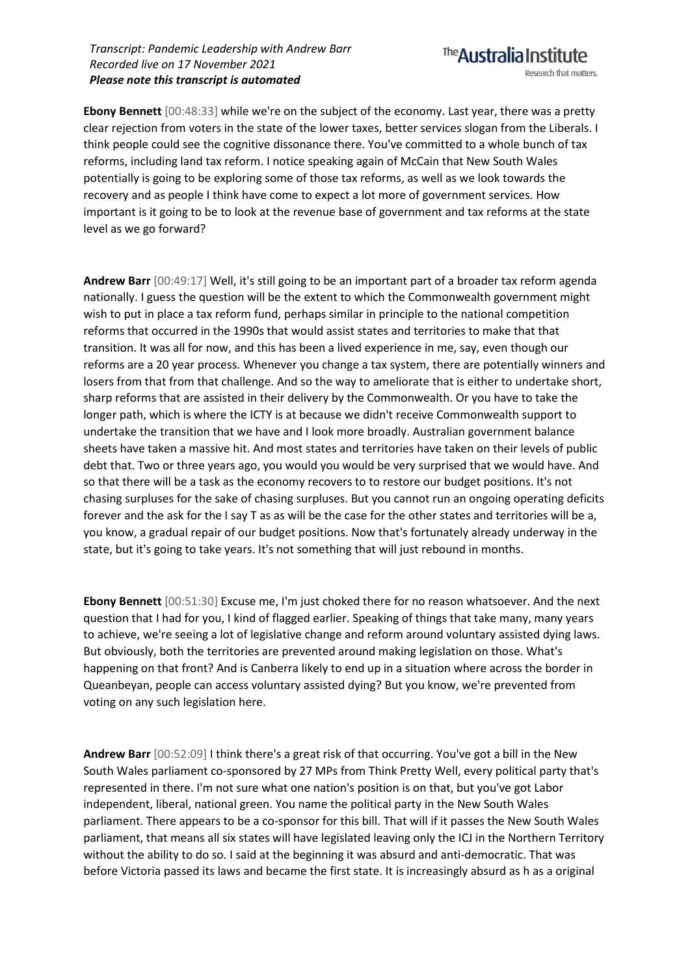**Ebony Bennett** [00:48:33] while we're on the subject of the economy. Last year, there was a pretty clear rejection from voters in the state of the lower taxes, better services slogan from the Liberals. I think people could see the cognitive dissonance there. You've committed to a whole bunch of tax reforms, including land tax reform. I notice speaking again of McCain that New South Wales potentially is going to be exploring some of those tax reforms, as well as we look towards the recovery and as people I think have come to expect a lot more of government services. How important is it going to be to look at the revenue base of government and tax reforms at the state level as we go forward?

**Andrew Barr** [00:49:17] Well, it's still going to be an important part of a broader tax reform agenda nationally. I guess the question will be the extent to which the Commonwealth government might wish to put in place a tax reform fund, perhaps similar in principle to the national competition reforms that occurred in the 1990s that would assist states and territories to make that that transition. It was all for now, and this has been a lived experience in me, say, even though our reforms are a 20 year process. Whenever you change a tax system, there are potentially winners and losers from that from that challenge. And so the way to ameliorate that is either to undertake short, sharp reforms that are assisted in their delivery by the Commonwealth. Or you have to take the longer path, which is where the ICTY is at because we didn't receive Commonwealth support to undertake the transition that we have and I look more broadly. Australian government balance sheets have taken a massive hit. And most states and territories have taken on their levels of public debt that. Two or three years ago, you would you would be very surprised that we would have. And so that there will be a task as the economy recovers to to restore our budget positions. It's not chasing surpluses for the sake of chasing surpluses. But you cannot run an ongoing operating deficits forever and the ask for the I say T as as will be the case for the other states and territories will be a, you know, a gradual repair of our budget positions. Now that's fortunately already underway in the state, but it's going to take years. It's not something that will just rebound in months.

**Ebony Bennett** [00:51:30] Excuse me, I'm just choked there for no reason whatsoever. And the next question that I had for you, I kind of flagged earlier. Speaking of things that take many, many years to achieve, we're seeing a lot of legislative change and reform around voluntary assisted dying laws. But obviously, both the territories are prevented around making legislation on those. What's happening on that front? And is Canberra likely to end up in a situation where across the border in Queanbeyan, people can access voluntary assisted dying? But you know, we're prevented from voting on any such legislation here.

**Andrew Barr** [00:52:09] I think there's a great risk of that occurring. You've got a bill in the New South Wales parliament co-sponsored by 27 MPs from Think Pretty Well, every political party that's represented in there. I'm not sure what one nation's position is on that, but you've got Labor independent, liberal, national green. You name the political party in the New South Wales parliament. There appears to be a co-sponsor for this bill. That will if it passes the New South Wales parliament, that means all six states will have legislated leaving only the ICJ in the Northern Territory without the ability to do so. I said at the beginning it was absurd and anti-democratic. That was before Victoria passed its laws and became the first state. It is increasingly absurd as h as a original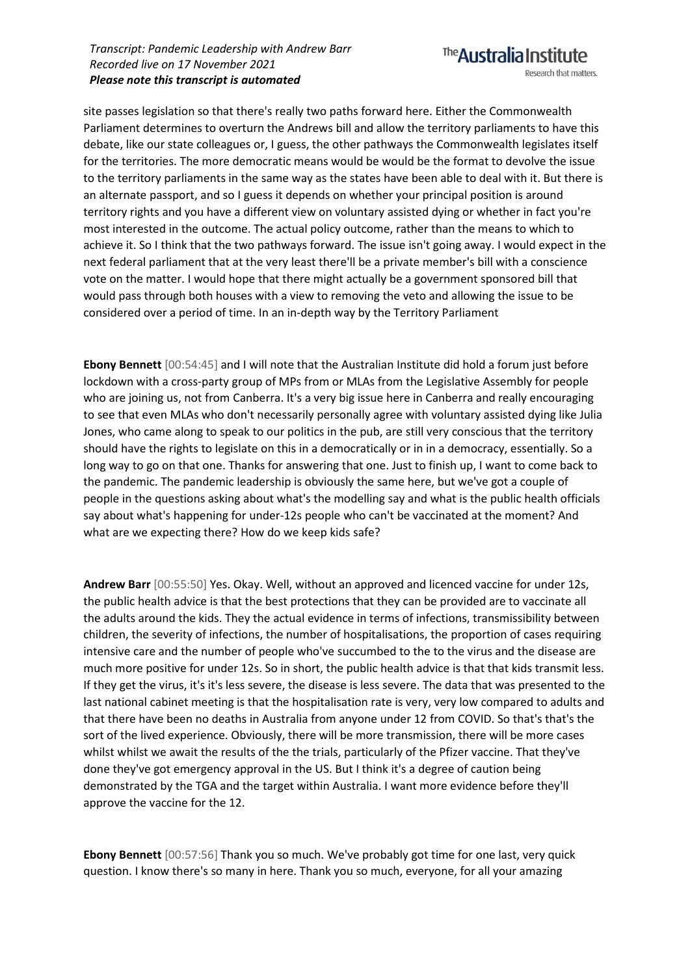site passes legislation so that there's really two paths forward here. Either the Commonwealth Parliament determines to overturn the Andrews bill and allow the territory parliaments to have this debate, like our state colleagues or, I guess, the other pathways the Commonwealth legislates itself for the territories. The more democratic means would be would be the format to devolve the issue to the territory parliaments in the same way as the states have been able to deal with it. But there is an alternate passport, and so I guess it depends on whether your principal position is around territory rights and you have a different view on voluntary assisted dying or whether in fact you're most interested in the outcome. The actual policy outcome, rather than the means to which to achieve it. So I think that the two pathways forward. The issue isn't going away. I would expect in the next federal parliament that at the very least there'll be a private member's bill with a conscience vote on the matter. I would hope that there might actually be a government sponsored bill that would pass through both houses with a view to removing the veto and allowing the issue to be considered over a period of time. In an in-depth way by the Territory Parliament

**Ebony Bennett** [00:54:45] and I will note that the Australian Institute did hold a forum just before lockdown with a cross-party group of MPs from or MLAs from the Legislative Assembly for people who are joining us, not from Canberra. It's a very big issue here in Canberra and really encouraging to see that even MLAs who don't necessarily personally agree with voluntary assisted dying like Julia Jones, who came along to speak to our politics in the pub, are still very conscious that the territory should have the rights to legislate on this in a democratically or in in a democracy, essentially. So a long way to go on that one. Thanks for answering that one. Just to finish up, I want to come back to the pandemic. The pandemic leadership is obviously the same here, but we've got a couple of people in the questions asking about what's the modelling say and what is the public health officials say about what's happening for under-12s people who can't be vaccinated at the moment? And what are we expecting there? How do we keep kids safe?

**Andrew Barr** [00:55:50] Yes. Okay. Well, without an approved and licenced vaccine for under 12s, the public health advice is that the best protections that they can be provided are to vaccinate all the adults around the kids. They the actual evidence in terms of infections, transmissibility between children, the severity of infections, the number of hospitalisations, the proportion of cases requiring intensive care and the number of people who've succumbed to the to the virus and the disease are much more positive for under 12s. So in short, the public health advice is that that kids transmit less. If they get the virus, it's it's less severe, the disease is less severe. The data that was presented to the last national cabinet meeting is that the hospitalisation rate is very, very low compared to adults and that there have been no deaths in Australia from anyone under 12 from COVID. So that's that's the sort of the lived experience. Obviously, there will be more transmission, there will be more cases whilst whilst we await the results of the the trials, particularly of the Pfizer vaccine. That they've done they've got emergency approval in the US. But I think it's a degree of caution being demonstrated by the TGA and the target within Australia. I want more evidence before they'll approve the vaccine for the 12.

**Ebony Bennett** [00:57:56] Thank you so much. We've probably got time for one last, very quick question. I know there's so many in here. Thank you so much, everyone, for all your amazing